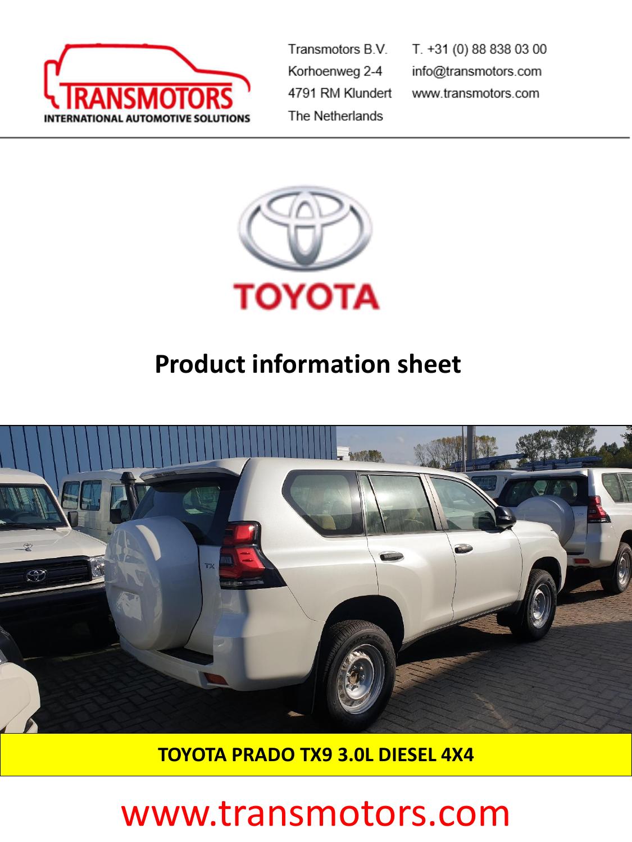

Transmotors B.V. Korhoenweg 2-4 4791 RM Klundert The Netherlands

T. +31 (0) 88 838 03 00 info@transmotors.com www.transmotors.com



## **Product information sheet**



**TOYOTA PRADO TX9 3.0L DIESEL 4X4** 

# www.transmotors.com